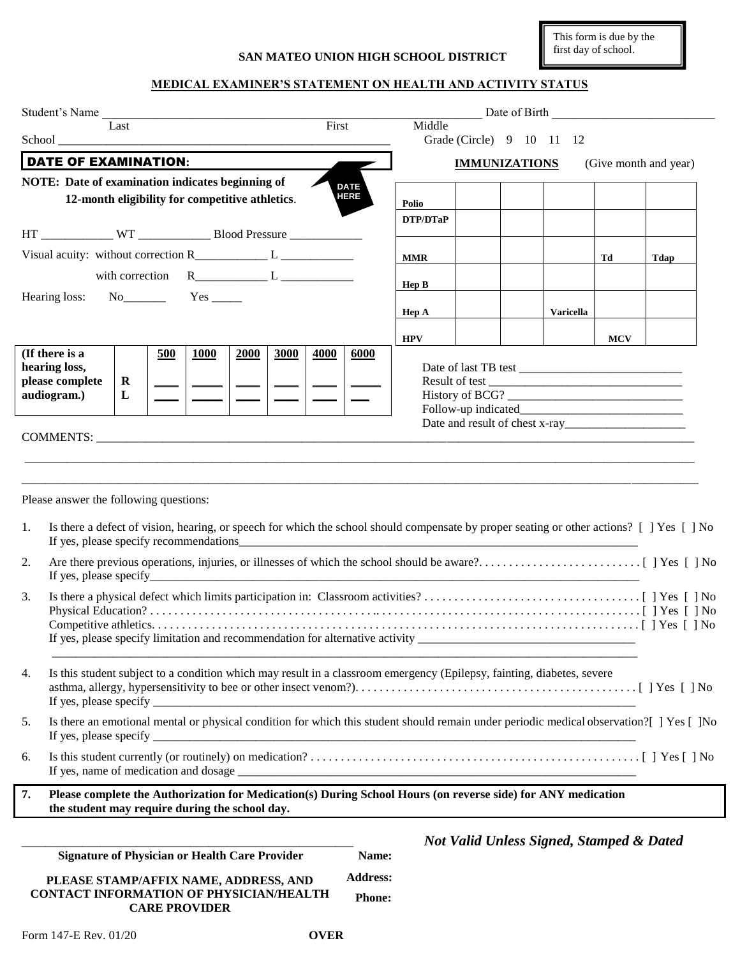**SAN MATEO UNION HIGH SCHOOL DISTRICT**

This form is due by the first day of school.

## **MEDICAL EXAMINER'S STATEMENT ON HEALTH AND ACTIVITY STATUS**

|    | Student's Name                                                                                                                                                      |                 |                 |                                                     |                  |            | Date of Birth Date of Birth |
|----|---------------------------------------------------------------------------------------------------------------------------------------------------------------------|-----------------|-----------------|-----------------------------------------------------|------------------|------------|-----------------------------|
|    | Last                                                                                                                                                                | First           | Middle          | Grade (Circle) 9 10 11 12                           |                  |            |                             |
|    | <b>DATE OF EXAMINATION:</b>                                                                                                                                         |                 |                 | <b>IMMUNIZATIONS</b>                                |                  |            | (Give month and year)       |
|    | NOTE: Date of examination indicates beginning of                                                                                                                    | <b>DATE</b>     |                 |                                                     |                  |            |                             |
|    | 12-month eligibility for competitive athletics.                                                                                                                     | <b>HERE</b>     | Polio           |                                                     |                  |            |                             |
|    | HT ______________ WT ________________ Blood Pressure ___________________________                                                                                    |                 | <b>DTP/DTaP</b> |                                                     |                  |            |                             |
|    | Visual acuity: without correction $R_$ $L_$                                                                                                                         |                 | <b>MMR</b>      |                                                     |                  | Td         | Tdap                        |
|    | with correction $R_$ $L_$                                                                                                                                           |                 |                 |                                                     |                  |            |                             |
|    | $No$ $Yes$ $Yes$ $\\$<br>Hearing loss:                                                                                                                              |                 | Hep B           |                                                     |                  |            |                             |
|    |                                                                                                                                                                     |                 | Hep A           |                                                     | <b>Varicella</b> |            |                             |
|    |                                                                                                                                                                     |                 | <b>HPV</b>      |                                                     |                  | <b>MCV</b> |                             |
|    | (If there is a<br>500<br><b>1000</b><br>2000<br>3000                                                                                                                | 4000<br>6000    |                 |                                                     |                  |            |                             |
|    | hearing loss,<br>please complete<br>$\mathbf R$                                                                                                                     |                 |                 |                                                     |                  |            |                             |
|    | audiogram.)<br>L                                                                                                                                                    |                 |                 |                                                     |                  |            |                             |
|    |                                                                                                                                                                     |                 |                 |                                                     |                  |            |                             |
|    |                                                                                                                                                                     |                 |                 |                                                     |                  |            |                             |
|    | COMMENTS: COMMENTS:                                                                                                                                                 |                 |                 |                                                     |                  |            |                             |
|    |                                                                                                                                                                     |                 |                 |                                                     |                  |            |                             |
|    |                                                                                                                                                                     |                 |                 |                                                     |                  |            |                             |
|    | Please answer the following questions:                                                                                                                              |                 |                 |                                                     |                  |            |                             |
|    |                                                                                                                                                                     |                 |                 |                                                     |                  |            |                             |
| 1. | Is there a defect of vision, hearing, or speech for which the school should compensate by proper seating or other actions? [] Yes [] No                             |                 |                 |                                                     |                  |            |                             |
| 2. |                                                                                                                                                                     |                 |                 |                                                     |                  |            |                             |
| 3. |                                                                                                                                                                     |                 |                 |                                                     |                  |            |                             |
|    |                                                                                                                                                                     |                 |                 |                                                     |                  |            |                             |
|    | If yes, please specify limitation and recommendation for alternative activity __________                                                                            |                 |                 |                                                     |                  |            |                             |
|    |                                                                                                                                                                     |                 |                 |                                                     |                  |            |                             |
| 4. | Is this student subject to a condition which may result in a classroom emergency (Epilepsy, fainting, diabetes, severe                                              |                 |                 |                                                     |                  |            |                             |
|    |                                                                                                                                                                     |                 |                 |                                                     |                  |            |                             |
|    |                                                                                                                                                                     |                 |                 |                                                     |                  |            |                             |
| 5. | Is there an emotional mental or physical condition for which this student should remain under periodic medical observation? [ ] Yes [ ]No<br>If yes, please specify |                 |                 |                                                     |                  |            |                             |
| 6. |                                                                                                                                                                     |                 |                 |                                                     |                  |            |                             |
| 7. | Please complete the Authorization for Medication(s) During School Hours (on reverse side) for ANY medication                                                        |                 |                 |                                                     |                  |            |                             |
|    | the student may require during the school day.                                                                                                                      |                 |                 |                                                     |                  |            |                             |
|    |                                                                                                                                                                     |                 |                 | <b>Not Valid Unless Signed, Stamped &amp; Dated</b> |                  |            |                             |
|    | <b>Signature of Physician or Health Care Provider</b>                                                                                                               | Name:           |                 |                                                     |                  |            |                             |
|    | PLEASE STAMP/AFFIX NAME, ADDRESS, AND                                                                                                                               | <b>Address:</b> |                 |                                                     |                  |            |                             |
|    | <b>CONTACT INFORMATION OF PHYSICIAN/HEALTH</b><br><b>CARE PROVIDER</b>                                                                                              | <b>Phone:</b>   |                 |                                                     |                  |            |                             |